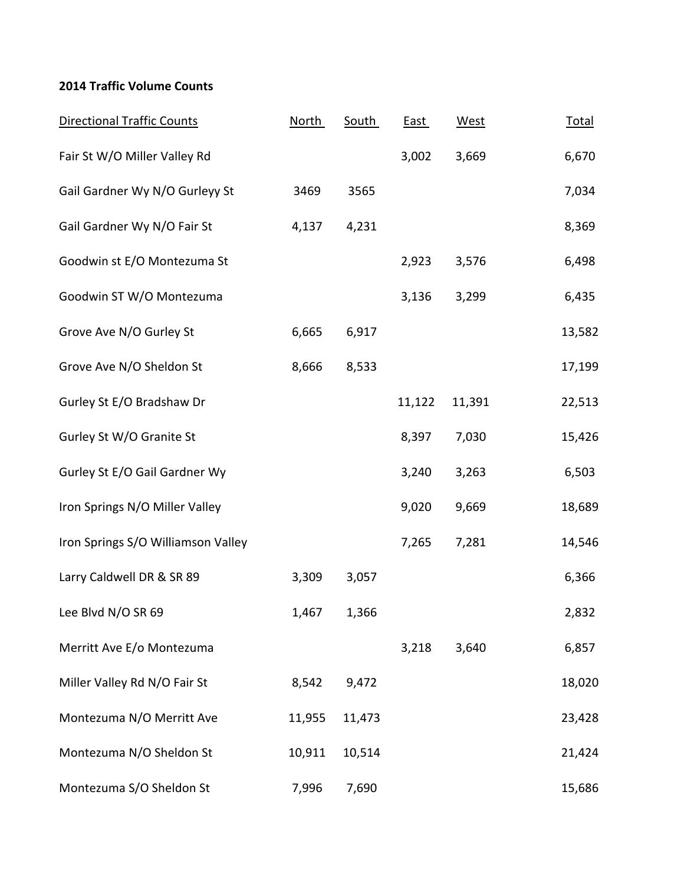## **2014 Traffic Volume Counts**

| <b>Directional Traffic Counts</b>  | <b>North</b> | <b>South</b> | <b>East</b> | West   | <b>Total</b> |
|------------------------------------|--------------|--------------|-------------|--------|--------------|
| Fair St W/O Miller Valley Rd       |              |              | 3,002       | 3,669  | 6,670        |
| Gail Gardner Wy N/O Gurleyy St     | 3469         | 3565         |             |        | 7,034        |
| Gail Gardner Wy N/O Fair St        | 4,137        | 4,231        |             |        | 8,369        |
| Goodwin st E/O Montezuma St        |              |              | 2,923       | 3,576  | 6,498        |
| Goodwin ST W/O Montezuma           |              |              | 3,136       | 3,299  | 6,435        |
| Grove Ave N/O Gurley St            | 6,665        | 6,917        |             |        | 13,582       |
| Grove Ave N/O Sheldon St           | 8,666        | 8,533        |             |        | 17,199       |
| Gurley St E/O Bradshaw Dr          |              |              | 11,122      | 11,391 | 22,513       |
| Gurley St W/O Granite St           |              |              | 8,397       | 7,030  | 15,426       |
| Gurley St E/O Gail Gardner Wy      |              |              | 3,240       | 3,263  | 6,503        |
| Iron Springs N/O Miller Valley     |              |              | 9,020       | 9,669  | 18,689       |
| Iron Springs S/O Williamson Valley |              |              | 7,265       | 7,281  | 14,546       |
| Larry Caldwell DR & SR 89          | 3,309        | 3,057        |             |        | 6,366        |
| Lee Blvd N/O SR 69                 | 1,467        | 1,366        |             |        | 2,832        |
| Merritt Ave E/o Montezuma          |              |              | 3,218       | 3,640  | 6,857        |
| Miller Valley Rd N/O Fair St       | 8,542        | 9,472        |             |        | 18,020       |
| Montezuma N/O Merritt Ave          | 11,955       | 11,473       |             |        | 23,428       |
| Montezuma N/O Sheldon St           | 10,911       | 10,514       |             |        | 21,424       |
| Montezuma S/O Sheldon St           | 7,996        | 7,690        |             |        | 15,686       |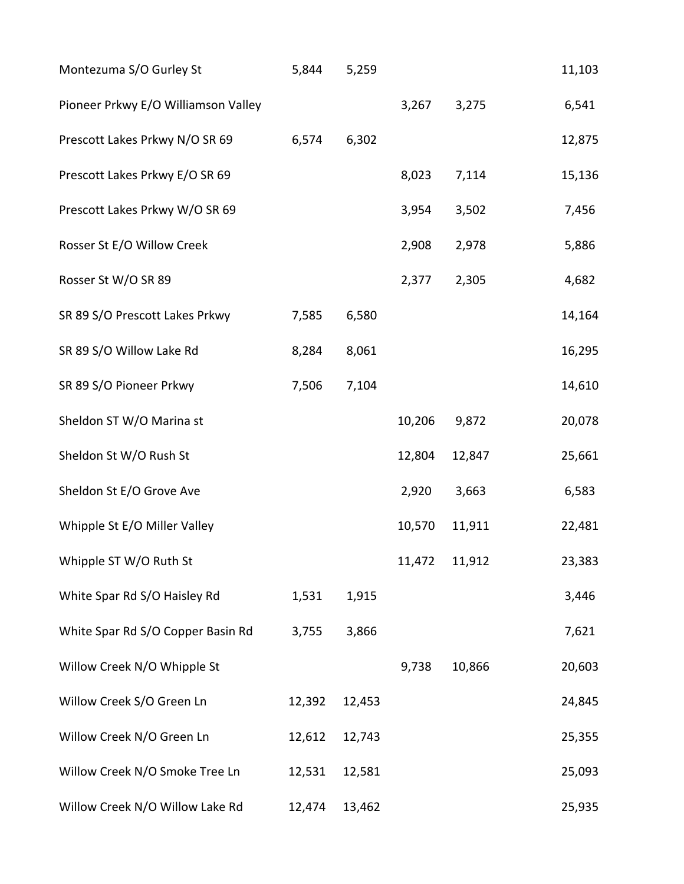| Montezuma S/O Gurley St             | 5,844  | 5,259  |        |               | 11,103 |
|-------------------------------------|--------|--------|--------|---------------|--------|
| Pioneer Prkwy E/O Williamson Valley |        |        | 3,267  | 3,275         | 6,541  |
| Prescott Lakes Prkwy N/O SR 69      | 6,574  | 6,302  |        |               | 12,875 |
| Prescott Lakes Prkwy E/O SR 69      |        |        | 8,023  | 7,114         | 15,136 |
| Prescott Lakes Prkwy W/O SR 69      |        |        | 3,954  | 3,502         | 7,456  |
| Rosser St E/O Willow Creek          |        |        | 2,908  | 2,978         | 5,886  |
| Rosser St W/O SR 89                 |        |        | 2,377  | 2,305         | 4,682  |
| SR 89 S/O Prescott Lakes Prkwy      | 7,585  | 6,580  |        |               | 14,164 |
| SR 89 S/O Willow Lake Rd            | 8,284  | 8,061  |        |               | 16,295 |
| SR 89 S/O Pioneer Prkwy             | 7,506  | 7,104  |        |               | 14,610 |
| Sheldon ST W/O Marina st            |        |        | 10,206 | 9,872         | 20,078 |
| Sheldon St W/O Rush St              |        |        | 12,804 | 12,847        | 25,661 |
| Sheldon St E/O Grove Ave            |        |        | 2,920  | 3,663         | 6,583  |
| Whipple St E/O Miller Valley        |        |        | 10,570 | 11,911        | 22,481 |
| Whipple ST W/O Ruth St              |        |        |        | 11,472 11,912 | 23,383 |
| White Spar Rd S/O Haisley Rd        | 1,531  | 1,915  |        |               | 3,446  |
| White Spar Rd S/O Copper Basin Rd   | 3,755  | 3,866  |        |               | 7,621  |
| Willow Creek N/O Whipple St         |        |        | 9,738  | 10,866        | 20,603 |
| Willow Creek S/O Green Ln           | 12,392 | 12,453 |        |               | 24,845 |
| Willow Creek N/O Green Ln           | 12,612 | 12,743 |        |               | 25,355 |
| Willow Creek N/O Smoke Tree Ln      | 12,531 | 12,581 |        |               | 25,093 |
| Willow Creek N/O Willow Lake Rd     | 12,474 | 13,462 |        |               | 25,935 |